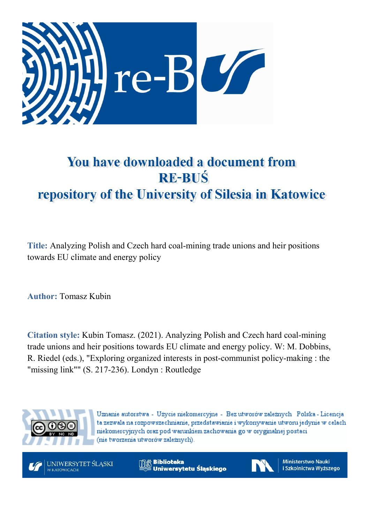

# You have downloaded a document from **RE-BUŚ** repository of the University of Silesia in Katowice

**Title:** Analyzing Polish and Czech hard coal-mining trade unions and heir positions towards EU climate and energy policy

**Author:** Tomasz Kubin

**Citation style:** Kubin Tomasz. (2021). Analyzing Polish and Czech hard coal-mining trade unions and heir positions towards EU climate and energy policy. W: M. Dobbins, R. Riedel (eds.), "Exploring organized interests in post-communist policy-making : the "missing link"" (S. 217-236). Londyn : Routledge



Uznanie autorstwa - Użycie niekomercyjne - Bez utworów zależnych Polska - Licencja ta zezwala na rozpowszechnianie, przedstawianie i wykonywanie utworu jedynie w celach niekomercyjnych oraz pod warunkiem zachowania go w oryginalnej postaci (nie tworzenia utworów zależnych).



**Biblioteka** Uniwersytetu Śląskiego



**Ministerstwo Nauki** i Szkolnictwa Wyższego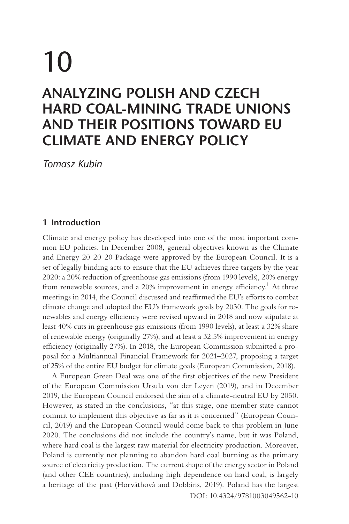# <span id="page-1-0"></span>10 **ANALYZING POLISH AND CZECH HARD COAL-MINING TRADE UNIONS AND THEIR POSITIONS TOWARD EU CLIMATE AND ENERGY POLICY**

*Tomasz Kubin*

#### **1 Introduction**

Climate and energy policy has developed into one of the most important common EU policies. In December 2008, general objectives known as the Climate and Energy 20-20-20 Package were approved by the European Council. It is a set of legally binding acts to ensure that the EU achieves three targets by the year 2020: a 20% reduction of greenhouse gas emissions (from 1990 levels), 20% energy from renewable sources, and a 20% improvement in energy efficiency.<sup>1</sup> At three meetings in 2014, the Council discussed and reaffirmed the EU's efforts to combat climate change and adopted the EU's framework goals by 2030. The goals for renewables and energy efficiency were revised upward in 2018 and now stipulate at least 40% cuts in greenhouse gas emissions (from 1990 levels), at least a 32% share of renewable energy (originally 27%), and at least a 32.5% improvement in energy efficiency (originally 27%). In 2018, the European Commission submitted a proposal for a Multiannual Financial Framework for 2021–2027, proposing a target of 25% of the entire EU budget for climate goals (European Commission, 2018).

A European Green Deal was one of the first objectives of the new President of the European Commission Ursula von der Leyen (2019), and in December 2019, the European Council endorsed the aim of a climate-neutral EU by 2050. However, as stated in the conclusions, "at this stage, one member state cannot commit to implement this objective as far as it is concerned" (European Council, 2019) and the European Council would come back to this problem in June 2020. The conclusions did not include the country's name, but it was Poland, where hard coal is the largest raw material for electricity production. Moreover, Poland is currently not planning to abandon hard coal burning as the primary source of electricity production. The current shape of the energy sector in Poland (and other CEE countries), including high dependence on hard coal, is largely a heritage of the past (Horváthová and Dobbins, 2019). Poland has the largest [DOI: 10.4324/9781003049562-10](https://doi.org/10.4324/9781003049562-10)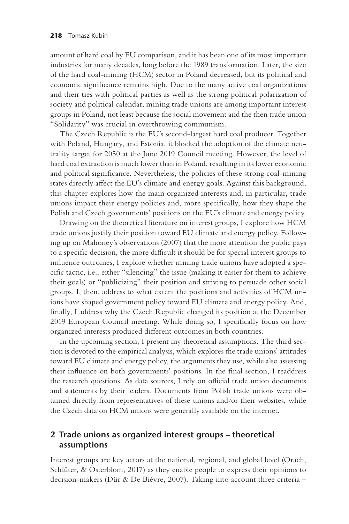amount of hard coal by EU comparison, and it has been one of its most important industries for many decades, long before the 1989 transformation. Later, the size of the hard coal-mining (HCM) sector in Poland decreased, but its political and economic significance remains high. Due to the many active coal organizations and their ties with political parties as well as the strong political polarization of society and political calendar, mining trade unions are among important interest groups in Poland, not least because the social movement and the then trade union "Solidarity" was crucial in overthrowing communism.

The Czech Republic is the EU's second-largest hard coal producer. Together with Poland, Hungary, and Estonia, it blocked the adoption of the climate neutrality target for 2050 at the June 2019 Council meeting. However, the level of hard coal extraction is much lower than in Poland, resulting in its lower economic and political significance. Nevertheless, the policies of these strong coal-mining states directly affect the EU's climate and energy goals. Against this background, this chapter explores how the main organized interests and, in particular, trade unions impact their energy policies and, more specifically, how they shape the Polish and Czech governments' positions on the EU's climate and energy policy.

Drawing on the theoretical literature on interest groups, I explore how HCM trade unions justify their position toward EU climate and energy policy. Following up on Mahoney's observations (2007) that the more attention the public pays to a specific decision, the more difficult it should be for special interest groups to influence outcomes, I explore whether mining trade unions have adopted a specific tactic, i.e., either "silencing" the issue (making it easier for them to achieve their goals) or "publicizing" their position and striving to persuade other social groups. I, then, address to what extent the positions and activities of HCM unions have shaped government policy toward EU climate and energy policy. And, finally, I address why the Czech Republic changed its position at the December 2019 European Council meeting. While doing so, I specifically focus on how organized interests produced different outcomes in both countries.

In the upcoming section, I present my theoretical assumptions. The third section is devoted to the empirical analysis, which explores the trade unions' attitudes toward EU climate and energy policy, the arguments they use, while also assessing their influence on both governments' positions. In the final section, I readdress the research questions. As data sources, I rely on official trade union documents and statements by their leaders. Documents from Polish trade unions were obtained directly from representatives of these unions and/or their websites, while the Czech data on HCM unions were generally available on the internet.

#### **2 Trade unions as organized interest groups – theoretical assumptions**

Interest groups are key actors at the national, regional, and global level (Orach, Schlüter, & Österblom, 2017) as they enable people to express their opinions to decision-makers (Dür & De Bièvre, 2007). Taking into account three criteria –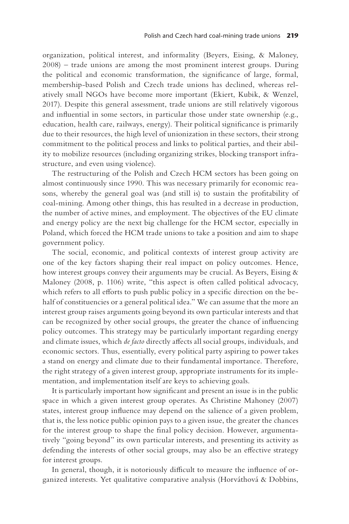organization, political interest, and informality (Beyers, Eising, & Maloney, 2008) – trade unions are among the most prominent interest groups. During the political and economic transformation, the significance of large, formal, membership-based Polish and Czech trade unions has declined, whereas relatively small NGOs have become more important (Ekiert, Kubik, & Wenzel, 2017). Despite this general assessment, trade unions are still relatively vigorous and influential in some sectors, in particular those under state ownership (e.g., education, health care, railways, energy). Their political significance is primarily due to their resources, the high level of unionization in these sectors, their strong commitment to the political process and links to political parties, and their ability to mobilize resources (including organizing strikes, blocking transport infrastructure, and even using violence).

The restructuring of the Polish and Czech HCM sectors has been going on almost continuously since 1990. This was necessary primarily for economic reasons, whereby the general goal was (and still is) to sustain the profitability of coal-mining. Among other things, this has resulted in a decrease in production, the number of active mines, and employment. The objectives of the EU climate and energy policy are the next big challenge for the HCM sector, especially in Poland, which forced the HCM trade unions to take a position and aim to shape government policy.

The social, economic, and political contexts of interest group activity are one of the key factors shaping their real impact on policy outcomes. Hence, how interest groups convey their arguments may be crucial. As Beyers, Eising & Maloney (2008, p. 1106) write, "this aspect is often called political advocacy, which refers to all efforts to push public policy in a specific direction on the behalf of constituencies or a general political idea." We can assume that the more an interest group raises arguments going beyond its own particular interests and that can be recognized by other social groups, the greater the chance of influencing policy outcomes. This strategy may be particularly important regarding energy and climate issues, which *de facto* directly affects all social groups, individuals, and economic sectors. Thus, essentially, every political party aspiring to power takes a stand on energy and climate due to their fundamental importance. Therefore, the right strategy of a given interest group, appropriate instruments for its implementation, and implementation itself are keys to achieving goals.

It is particularly important how significant and present an issue is in the public space in which a given interest group operates. As Christine Mahoney (2007) states, interest group influence may depend on the salience of a given problem, that is, the less notice public opinion pays to a given issue, the greater the chances for the interest group to shape the final policy decision. However, argumentatively "going beyond" its own particular interests, and presenting its activity as defending the interests of other social groups, may also be an effective strategy for interest groups.

In general, though, it is notoriously difficult to measure the influence of organized interests. Yet qualitative comparative analysis (Horváthová & Dobbins,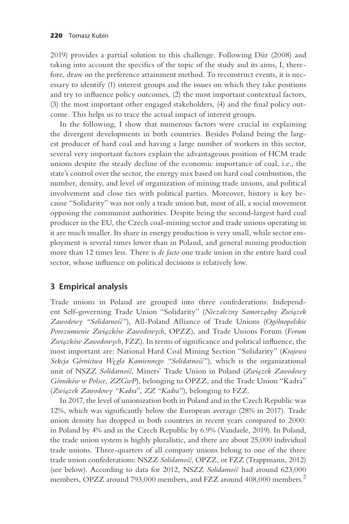<span id="page-4-0"></span>2019) provides a partial solution to this challenge. Following Dür (2008) and taking into account the specifics of the topic of the study and its aims, I, therefore, draw on the preference attainment method. To reconstruct events, it is necessary to identify (1) interest groups and the issues on which they take positions and try to influence policy outcomes, (2) the most important contextual factors, (3) the most important other engaged stakeholders, (4) and the final policy outcome. This helps us to trace the actual impact of interest groups.

In the following, I show that numerous factors were crucial in explaining the divergent developments in both countries. Besides Poland being the largest producer of hard coal and having a large number of workers in this sector, several very important factors explain the advantageous position of HCM trade unions despite the steady decline of the economic importance of coal, i.e., the state's control over the sector, the energy mix based on hard coal combustion, the number, density, and level of organization of mining trade unions, and political involvement and close ties with political parties. Moreover, history is key because "Solidarity" was not only a trade union but, most of all, a social movement opposing the communist authorities. Despite being the second-largest hard coal producer in the EU, the Czech coal-mining sector and trade unions operating in it are much smaller. Its share in energy production is very small, while sector employment is several times lower than in Poland, and general mining production more than 12 times less. There is *de facto* one trade union in the entire hard coal sector, whose influence on political decisions is relatively low.

# **3 Empirical analysis**

Trade unions in Poland are grouped into three confederations: Independent Self-governing Trade Union "Solidarity" (*Niezależny Samorządny Związek* Zawodowy "Solidarność"), All-Poland Alliance of Trade Unions (Ogólnopolskie *Porozumienie Zwia*˛*zków Zawodowych*, OPZZ), and Trade Unions Forum (*Forum Zwia*˛*zków Zawodowych*, FZZ). In terms of significance and political influence, the most important are: National Hard Coal Mining Section "Solidarity" (*Krajowa Sekcja Górnictwa We˛gla Kamiennego "Solidarnos´c´"*), which is the organizational unit of NSZZ *Solidarnos´c´*, Miners' Trade Union in Poland (*Zwia*˛*zek Zawodowy Górników w Polsce, ZZGwP*), belonging to OPZZ, and the Trade Union "Kadra" (*Zwia*˛*zek Zawodowy "Kadra*", *ZZ "Kadra"*), belonging to FZZ.

In 2017, the level of unionization both in Poland and in the Czech Republic was 12%, which was significantly below the European average (28% in 2017). Trade union density has dropped in both countries in recent years compared to 2000: in Poland by 4% and in the Czech Republic by 6.9% (Vandaele, 2019). In Poland, the trade union system is highly pluralistic, and there are about 25,000 individual trade unions. Three-quarters of all company unions belong to one of the three trade union confederations: NSZZ *Solidarnos´c´*, OPZZ, or FZZ (Trappmann, 2012) (see below). According to data for 2012, NSZZ Solidarnos' had around 623,000 members, OPZZ around 793,000 members, and FZZ around 408,000 members.<sup>[2](#page-17-0)</sup>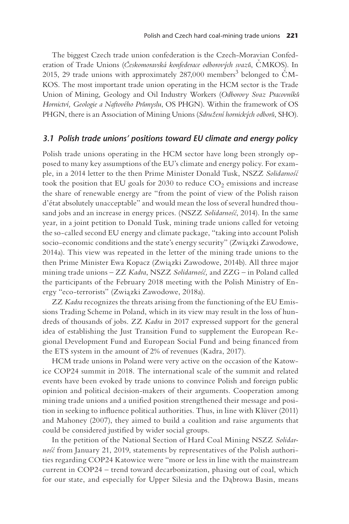The biggest Czech trade union confederation is the Czech-Moravian Confederation of Trade Unions (*Českomoravská konfederace odborových svazů*, ČMKOS). In 2015, 29 trade unions with approximately 287,000 members<sup>[3](#page-17-0)</sup> belonged to ČM-KOS. The most important trade union operating in the HCM sector is the Trade Union of Mining, Geology and Oil Industry Workers (*Odborovy Svaz Pracovníkuº Hornictví, Geologie a Naftového Průmyslu, OS PHGN)*. Within the framework of OS PHGN, there is an Association of Mining Unions (Sdružení hornických odborů, SHO).

#### *3.1 Polish trade unions' positions toward EU climate and energy policy*

Polish trade unions operating in the HCM sector have long been strongly opposed to many key assumptions of the EU's climate and energy policy. For example, in a 2014 letter to the then Prime Minister Donald Tusk, NSZZ *Solidarnos´c´* took the position that EU goals for  $2030$  to reduce  $CO<sub>2</sub>$  emissions and increase the share of renewable energy are "from the point of view of the Polish raison d'état absolutely unacceptable" and would mean the loss of several hundred thousand jobs and an increase in energy prices. (NSZZ Solidarnosć, 2014). In the same year, in a joint petition to Donald Tusk, mining trade unions called for vetoing the so-called second EU energy and climate package, "taking into account Polish socio-economic conditions and the state's energy security" (Związki Zawodowe, 2014a). This view was repeated in the letter of the mining trade unions to the then Prime Minister Ewa Kopacz (Związki Zawodowe, 2014b). All three major mining trade unions – ZZ *Kadra*, NSZZ *Solidarnos´c´,* and ZZG – in Poland called the participants of the February 2018 meeting with the Polish Ministry of Energy "eco-terrorists" (Związki Zawodowe, 2018a).

ZZ *Kadra* recognizes the threats arising from the functioning of the EU Emissions Trading Scheme in Poland, which in its view may result in the loss of hundreds of thousands of jobs. ZZ *Kadra* in 2017 expressed support for the general idea of establishing the Just Transition Fund to supplement the European Regional Development Fund and European Social Fund and being financed from the ETS system in the amount of 2% of revenues (Kadra, 2017).

HCM trade unions in Poland were very active on the occasion of the Katowice COP24 summit in 2018. The international scale of the summit and related events have been evoked by trade unions to convince Polish and foreign public opinion and political decision-makers of their arguments. Cooperation among mining trade unions and a unified position strengthened their message and position in seeking to influence political authorities. Thus, in line with Klüver (2011) and Mahoney (2007), they aimed to build a coalition and raise arguments that could be considered justified by wider social groups.

In the petition of the National Section of Hard Coal Mining NSZZ *Solidarnos'* from January 21, 2019, statements by representatives of the Polish authorities regarding COP24 Katowice were "more or less in line with the mainstream current in COP24 – trend toward decarbonization, phasing out of coal, which for our state, and especially for Upper Silesia and the Dąbrowa Basin, means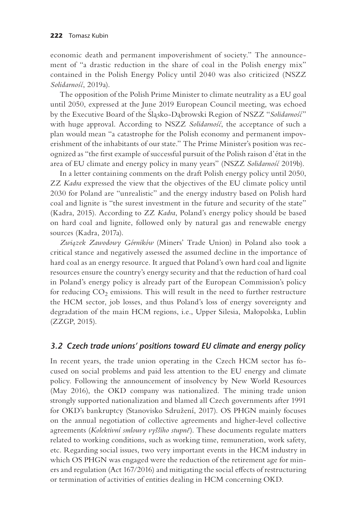economic death and permanent impoverishment of society." The announcement of "a drastic reduction in the share of coal in the Polish energy mix" contained in the Polish Energy Policy until 2040 was also criticized (NSZZ *Solidarnos´c´*, 2019a).

The opposition of the Polish Prime Minister to climate neutrality as a EU goal until 2050, expressed at the June 2019 European Council meeting, was echoed<br>by the Executive Board of the Slasko-Dabrowski Region of NSZZ "*Solidarnos'c*" with huge approval. According to NSZZ Solidarnos', the acceptance of such a plan would mean "a catastrophe for the Polish economy and permanent impoverishment of the inhabitants of our state." The Prime Minister's position was recognized as "the first example of successful pursuit of the Polish raison d'état in the area of EU climate and energy policy in many years" (NSZZ *Solidarnos´c´* 2019b).

In a letter containing comments on the draft Polish energy policy until 2050, ZZ *Kadra* expressed the view that the objectives of the EU climate policy until 2030 for Poland are "unrealistic" and the energy industry based on Polish hard coal and lignite is "the surest investment in the future and security of the state" (Kadra, 2015). According to ZZ *Kadra*, Poland's energy policy should be based on hard coal and lignite, followed only by natural gas and renewable energy sources (Kadra, 2017a).

*Zwia*˛*zek Zawodowy Górników* (Miners' Trade Union) in Poland also took a critical stance and negatively assessed the assumed decline in the importance of hard coal as an energy resource. It argued that Poland's own hard coal and lignite resources ensure the country's energy security and that the reduction of hard coal in Poland's energy policy is already part of the European Commission's policy for reducing  $CO<sub>2</sub>$  emissions. This will result in the need to further restructure the HCM sector, job losses, and thus Poland's loss of energy sovereignty and degradation of the main HCM regions, i.e., Upper Silesia, Małopolska, Lublin (ZZGP, 2015).

#### *3.2 Czech trade unions' positions toward EU climate and energy policy*

In recent years, the trade union operating in the Czech HCM sector has focused on social problems and paid less attention to the EU energy and climate policy. Following the announcement of insolvency by New World Resources (May 2016), the OKD company was nationalized. The mining trade union strongly supported nationalization and blamed all Czech governments after 1991 for OKD's bankruptcy (Stanovisko Sdružení, 2017). OS PHGN mainly focuses on the annual negotiation of collective agreements and higher-level collective agreements (*Kolektivní smlouvy vyššího stupně*). These documents regulate matters related to working conditions, such as working time, remuneration, work safety, etc. Regarding social issues, two very important events in the HCM industry in which OS PHGN was engaged were the reduction of the retirement age for miners and regulation (Act 167/2016) and mitigating the social effects of restructuring or termination of activities of entities dealing in HCM concerning OKD.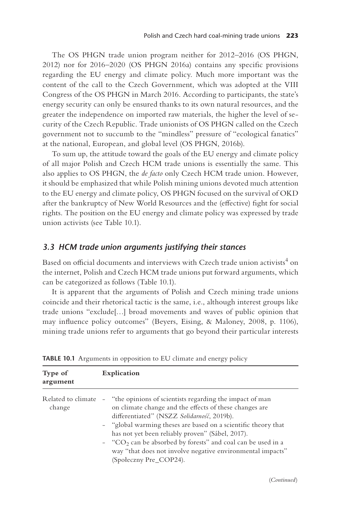<span id="page-7-0"></span>The OS PHGN trade union program neither for 2012–2016 (OS PHGN, 2012) nor for 2016–2020 (OS PHGN 2016a) contains any specific provisions regarding the EU energy and climate policy. Much more important was the content of the call to the Czech Government, which was adopted at the VIII Congress of the OS PHGN in March 2016. According to participants, the state's energy security can only be ensured thanks to its own natural resources, and the greater the independence on imported raw materials, the higher the level of security of the Czech Republic. Trade unionists of OS PHGN called on the Czech government not to succumb to the "mindless" pressure of "ecological fanatics" at the national, European, and global level (OS PHGN, 2016b).

To sum up, the attitude toward the goals of the EU energy and climate policy of all major Polish and Czech HCM trade unions is essentially the same. This also applies to OS PHGN, the *de facto* only Czech HCM trade union. However, it should be emphasized that while Polish mining unions devoted much attention to the EU energy and climate policy, OS PHGN focused on the survival of OKD after the bankruptcy of New World Resources and the (effective) fight for social rights. The position on the EU energy and climate policy was expressed by trade union activists (see Table 10.1).

#### *3.3 HCM trade union arguments justifying their stances*

Based on official documents and interviews with Czech trade union activists $^4$  $^4$  on the internet, Polish and Czech HCM trade unions put forward arguments, which can be categorized as follows (Table 10.1).

It is apparent that the arguments of Polish and Czech mining trade unions coincide and their rhetorical tactic is the same, i.e., although interest groups like trade unions "exclude[…] broad movements and waves of public opinion that may influence policy outcomes" (Beyers, Eising, & Maloney, 2008, p. 1106), mining trade unions refer to arguments that go beyond their particular interests

| Type of<br>argument          | Explication                                                                                                                                                                                                                                                                                                                                                                                                                                                                             |
|------------------------------|-----------------------------------------------------------------------------------------------------------------------------------------------------------------------------------------------------------------------------------------------------------------------------------------------------------------------------------------------------------------------------------------------------------------------------------------------------------------------------------------|
| Related to climate<br>change | "the opinions of scientists regarding the impact of man<br>$\overline{\phantom{a}}$<br>on climate change and the effects of these changes are<br>differentiated" (NSZZ Solidarność, 2019b).<br>- "global warming theses are based on a scientific theory that<br>has not yet been reliably proven" (Sábel, 2017).<br>$-$ "CO <sub>2</sub> can be absorbed by forests" and coal can be used in a<br>way "that does not involve negative environmental impacts"<br>(Społeczny Pre_COP24). |

**TABLE 10.1** Arguments in opposition to EU climate and energy policy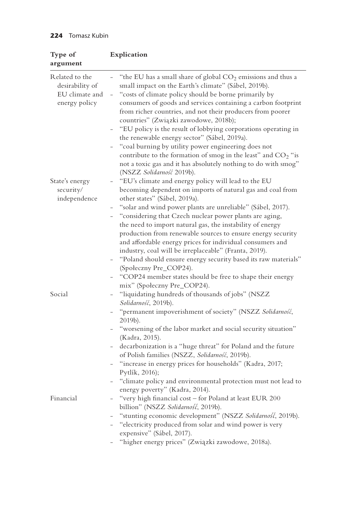| Type of<br>argument                                                  | Explication                                                                                                                                                                                                                                                                                                                                                                                                                                                                                                                                                                                                                                                                                                                                                                    |
|----------------------------------------------------------------------|--------------------------------------------------------------------------------------------------------------------------------------------------------------------------------------------------------------------------------------------------------------------------------------------------------------------------------------------------------------------------------------------------------------------------------------------------------------------------------------------------------------------------------------------------------------------------------------------------------------------------------------------------------------------------------------------------------------------------------------------------------------------------------|
| Related to the<br>desirability of<br>EU climate and<br>energy policy | "the EU has a small share of global CO <sub>2</sub> emissions and thus a<br>$\overline{\phantom{0}}$<br>small impact on the Earth's climate" (Sábel, 2019b).<br>"costs of climate policy should be borne primarily by<br>$\overline{\phantom{0}}$<br>consumers of goods and services containing a carbon footprint<br>from richer countries, and not their producers from poorer<br>countries" (Związki zawodowe, 2018b);<br>"EU policy is the result of lobbying corporations operating in<br>the renewable energy sector" (Sábel, 2019a).<br>"coal burning by utility power engineering does not<br>contribute to the formation of smog in the least" and CO <sub>2</sub> "is<br>not a toxic gas and it has absolutely nothing to do with smog"<br>(NSZZ Solidarność 2019b). |
| State's energy<br>security/<br>independence                          | "EU's climate and energy policy will lead to the EU<br>becoming dependent on imports of natural gas and coal from<br>other states" (Sábel, 2019a).<br>"solar and wind power plants are unreliable" (Sábel, 2017).<br>"considering that Czech nuclear power plants are aging,<br>the need to import natural gas, the instability of energy<br>production from renewable sources to ensure energy security<br>and affordable energy prices for individual consumers and<br>industry, coal will be irreplaceable" (Franta, 2019).<br>"Poland should ensure energy security based its raw materials"<br>(Społeczny Pre_COP24).<br>"COP24 member states should be free to shape their energy<br>mix" (Społeczny Pre_COP24).                                                         |
| Social                                                               | "liquidating hundreds of thousands of jobs" (NSZZ<br>Solidarność, 2019b).<br>"permanent impoverishment of society" (NSZZ Solidarność,<br>2019b).<br>"worsening of the labor market and social security situation"<br>(Kadra, 2015).<br>decarbonization is a "huge threat" for Poland and the future<br>of Polish families (NSZZ, Solidarność, 2019b).<br>"increase in energy prices for households" (Kadra, 2017;<br>Pytlík, 2016);<br>"climate policy and environmental protection must not lead to<br>energy poverty" (Kadra, 2014).                                                                                                                                                                                                                                         |
| Financial                                                            | "very high financial cost - for Poland at least EUR 200<br>billion" (NSZZ Solidarność, 2019b).<br>"stunting economic development" (NSZZ Solidarność, 2019b).<br>"electricity produced from solar and wind power is very<br>expensive" (Sábel, 2017).<br>"higher energy prices" (Związki zawodowe, 2018a).                                                                                                                                                                                                                                                                                                                                                                                                                                                                      |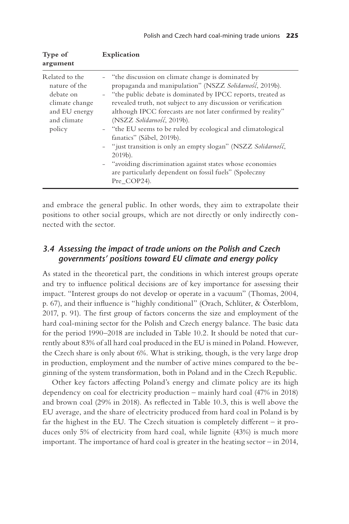| Type of<br>argument                                                                                      | Explication                                                                                                                                                                                                                                                                                                                                                                                                                                                                                                                                                                                                                                                   |
|----------------------------------------------------------------------------------------------------------|---------------------------------------------------------------------------------------------------------------------------------------------------------------------------------------------------------------------------------------------------------------------------------------------------------------------------------------------------------------------------------------------------------------------------------------------------------------------------------------------------------------------------------------------------------------------------------------------------------------------------------------------------------------|
| Related to the<br>nature of the<br>debate on<br>climate change<br>and EU energy<br>and climate<br>policy | - "the discussion on climate change is dominated by<br>propaganda and manipulation" (NSZZ Solidarność, 2019b).<br>- "the public debate is dominated by IPCC reports, treated as<br>revealed truth, not subject to any discussion or verification<br>although IPCC forecasts are not later confirmed by reality"<br>(NSZZ Solidarność, 2019b).<br>- "the EU seems to be ruled by ecological and climatological<br>fanatics" (Sábel, 2019b).<br>- "just transition is only an empty slogan" (NSZZ Solidarnos',<br>2019b).<br>- "avoiding discrimination against states whose economies<br>are particularly dependent on fossil fuels" (Społeczny<br>Pre COP24). |

and embrace the general public. In other words, they aim to extrapolate their positions to other social groups, which are not directly or only indirectly connected with the sector.

#### *3.4 Assessing the impact of trade unions on the Polish and Czech governments' positions toward EU climate and energy policy*

As stated in the theoretical part, the conditions in which interest groups operate and try to influence political decisions are of key importance for assessing their impact. "Interest groups do not develop or operate in a vacuum" (Thomas, 2004, p. 67), and their influence is "highly conditional" (Orach, Schlüter, & Österblom, 2017, p. 91). The first group of factors concerns the size and employment of the hard coal-mining sector for the Polish and Czech energy balance. The basic data for the period 1990–2018 are included in [Table 10.2.](#page-10-0) It should be noted that currently about 83% of all hard coal produced in the EU is mined in Poland. However, the Czech share is only about 6%. What is striking, though, is the very large drop in production, employment and the number of active mines compared to the beginning of the system transformation, both in Poland and in the Czech Republic.

Other key factors affecting Poland's energy and climate policy are its high dependency on coal for electricity production – mainly hard coal (47% in 2018) and brown coal (29% in 2018). As reflected in [Table 10.3](#page-11-0), this is well above the EU average, and the share of electricity produced from hard coal in Poland is by far the highest in the EU. The Czech situation is completely different – it produces only 5% of electricity from hard coal, while lignite (43%) is much more important. The importance of hard coal is greater in the heating sector – in 2014,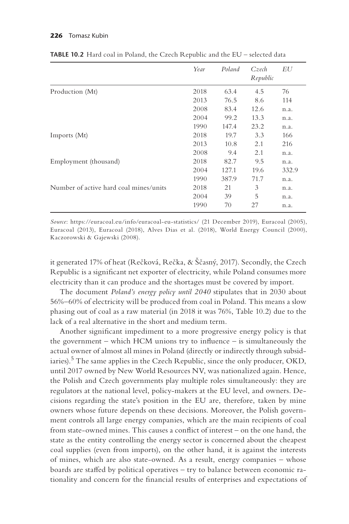|                                        | Year | Poland | Czech<br>Republic | EU    |
|----------------------------------------|------|--------|-------------------|-------|
| Production (Mt)                        | 2018 | 63.4   | 4.5               | 76    |
|                                        | 2013 | 76.5   | 8.6               | 114   |
|                                        | 2008 | 83.4   | 12.6              | n.a.  |
|                                        | 2004 | 99.2   | 13.3              | n.a.  |
|                                        | 1990 | 147.4  | 23.2              | n.a.  |
| Imports (Mt)                           | 2018 | 19.7   | 3.3               | 166   |
|                                        | 2013 | 10.8   | 2.1               | 216   |
|                                        | 2008 | 9.4    | 2.1               | n.a.  |
| Employment (thousand)                  | 2018 | 82.7   | 9.5               | n.a.  |
|                                        | 2004 | 127.1  | 19.6              | 332.9 |
|                                        | 1990 | 387.9  | 71.7              | n.a.  |
| Number of active hard coal mines/units | 2018 | 21     | 3                 | n.a.  |
|                                        | 2004 | 39     | 5                 | n.a.  |
|                                        | 1990 | 70     | 27                | n.a.  |

<span id="page-10-0"></span>**TABLE 10.2** Hard coal in Poland, the Czech Republic and the EU – selected data

*Source*: [https://euracoal.eu/info/euracoal-eu-statistics/](https://euracoal.eu) (21 December 2019), Euracoal (2005), Euracoal (2013), Euracoal (2018), Alves Dias et al. (2018), World Energy Council (2000), Kaczorowski & Gajewski (2008).

it generated 17% of heat (Rečková, Rečka, & Ščasný, 2017). Secondly, the Czech Republic is a significant net exporter of electricity, while Poland consumes more electricity than it can produce and the shortages must be covered by import.

The document *Poland's energy policy until 2040* stipulates that in 2030 about 56%–60% of electricity will be produced from coal in Poland. This means a slow phasing out of coal as a raw material (in 2018 it was 76%, Table 10.2) due to the lack of a real alternative in the short and medium term.

Another significant impediment to a more progressive energy policy is that the government – which HCM unions try to influence – is simultaneously the actual owner of almost all mines in Poland (directly or indirectly through subsid-iaries).<sup>[5](#page-17-0)</sup> The same applies in the Czech Republic, since the only producer, OKD, until 2017 owned by New World Resources NV, was nationalized again. Hence, the Polish and Czech governments play multiple roles simultaneously: they are regulators at the national level, policy-makers at the EU level, and owners. Decisions regarding the state's position in the EU are, therefore, taken by mine owners whose future depends on these decisions. Moreover, the Polish government controls all large energy companies, which are the main recipients of coal from state-owned mines. This causes a conflict of interest – on the one hand, the state as the entity controlling the energy sector is concerned about the cheapest coal supplies (even from imports), on the other hand, it is against the interests of mines, which are also state-owned. As a result, energy companies – whose boards are staffed by political operatives – try to balance between economic rationality and concern for the financial results of enterprises and expectations of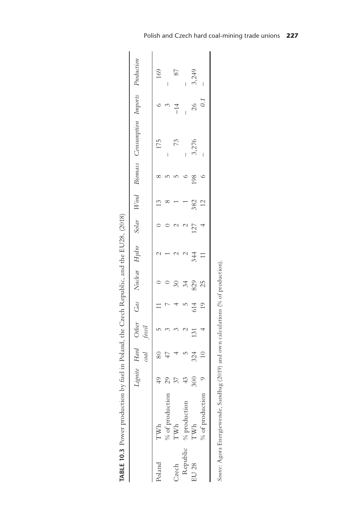| ł<br>j                    |  |
|---------------------------|--|
| l                         |  |
| $\frac{1}{2}$             |  |
| ļ<br>$\ddot{\phantom{0}}$ |  |
|                           |  |
| ]<br>)                    |  |
|                           |  |
|                           |  |
|                           |  |
| î                         |  |
|                           |  |
|                           |  |
| ł                         |  |
|                           |  |
| ĺ<br>I                    |  |
|                           |  |
|                           |  |
|                           |  |
|                           |  |
|                           |  |
|                           |  |
| <br> <br>                 |  |
|                           |  |
| Í                         |  |
|                           |  |
|                           |  |
|                           |  |
|                           |  |
|                           |  |
|                           |  |
|                           |  |
|                           |  |
|                           |  |
|                           |  |
|                           |  |
|                           |  |
|                           |  |
| ີ<br>ຈ                    |  |
| $\frac{1}{2}$             |  |
|                           |  |
| TABLE 10                  |  |
|                           |  |
|                           |  |
|                           |  |

<span id="page-11-0"></span>

|              |                                                                                    |                |                 |                |          |                             |               |                |                |     | Lignite Hard Other Gas Nudear Hydro Solar Wind Biomass Consumption Imports Production<br>coal fossil |                  |                                |
|--------------|------------------------------------------------------------------------------------|----------------|-----------------|----------------|----------|-----------------------------|---------------|----------------|----------------|-----|------------------------------------------------------------------------------------------------------|------------------|--------------------------------|
| Poland       | TWh                                                                                | $^{49}$        | 80              | $\overline{5}$ | $\equiv$ | $\circ$                     |               |                | 13             |     | 175                                                                                                  |                  | 169                            |
|              | ion<br>$%$ of producti                                                             | 29             | $\overline{47}$ |                |          |                             |               |                |                |     | I                                                                                                    |                  |                                |
| Czech        | $\mathbf{TW}\mathbf{h}$                                                            | $\mathfrak{Z}$ |                 |                |          | $\boldsymbol{\mathcal{S}}0$ |               |                |                |     | 73                                                                                                   | $\frac{4}{1}$    | 87                             |
|              | Republic % production                                                              | 43             | $\overline{5}$  |                |          | 34                          | $\mathcal{L}$ | $\mathcal{C}$  |                |     | $\overline{\phantom{a}}$                                                                             |                  | $\begin{array}{c} \end{array}$ |
| <b>EU 28</b> | TWh                                                                                | 300            | 324             | 131            | 614      | 829                         | 344           | 127            | 382            | 198 | 3,276                                                                                                |                  | 3,249                          |
|              | % of production                                                                    | $\circ$        | $\overline{10}$ | $\overline{a}$ | 19       |                             | $\Box$        | $\overline{a}$ | $\overline{c}$ |     |                                                                                                      | $\frac{26}{0.1}$ |                                |
|              | Source: Agora Energiewende, Sandbag (2019) and own calculations (% of production). |                |                 |                |          |                             |               |                |                |     |                                                                                                      |                  |                                |

Polish and Czech hard coal-mining trade unions **227**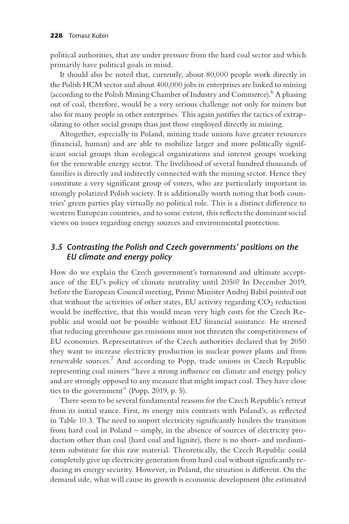<span id="page-12-0"></span>political authorities, that are under pressure from the hard coal sector and which primarily have political goals in mind.

It should also be noted that, currently, about 80,000 people work directly in the Polish HCM sector and about 400,000 jobs in enterprises are linked to mining (according to the Polish Mining Chamber of Industry and Commerce)[.6](#page-17-0) A phasing out of coal, therefore, would be a very serious challenge not only for miners but also for many people in other enterprises. This again justifies the tactics of extrapolating to other social groups than just those employed directly in mining.

Altogether, especially in Poland, mining trade unions have greater resources (financial, human) and are able to mobilize larger and more politically significant social groups than ecological organizations and interest groups working for the renewable energy sector. The livelihood of several hundred thousands of families is directly and indirectly connected with the mining sector. Hence they constitute a very significant group of voters, who are particularly important in strongly polarized Polish society. It is additionally worth noting that both countries' green parties play virtually no political role. This is a distinct difference to western European countries, and to some extent, this reflects the dominant social views on issues regarding energy sources and environmental protection.

# *3.5 C ontrasting the Polish and Czech governments' positions on the EU climate and energy policy*

How do we explain the Czech government's turnaround and ultimate acceptance of the EU's policy of climate neutrality until 2050? In December 2019, before the European Council meeting, Prime Minister Andrej Babiš pointed out that without the activities of other states, EU activity regarding  $CO<sub>2</sub>$  reduction would be ineffective, that this would mean very high costs for the Czech Republic and would not be possible without EU financial assistance. He stressed that reducing greenhouse gas emissions must not threaten the competitiveness of EU economies. Representatives of the Czech authorities declared that by 2050 they want to increase electricity production in nuclear power plants and from renewable sources[.7](#page-17-0) And according to Popp, trade unions in Czech Republic representing coal miners "have a strong influence on climate and energy policy and are strongly opposed to any measure that might impact coal. They have close ties to the government" (Popp, 2019, p. 5).

There seem to be several fundamental reasons for the Czech Republic's retreat from its initial stance. First, its energy mix contrasts with Poland's, as reflected in [Table 10.3.](#page-11-0) The need to import electricity significantly hinders the transition from hard coal in Poland – simply, in the absence of sources of electricity production other than coal (hard coal and lignite), there is no short- and mediumterm substitute for this raw material. Theoretically, the Czech Republic could completely give up electricity generation from hard coal without significantly reducing its energy security. However, in Poland, the situation is different. On the demand side, what will cause its growth is economic development (the estimated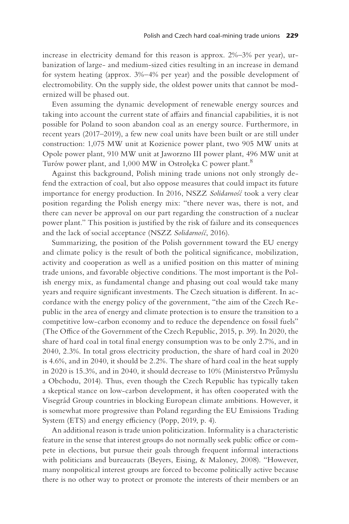<span id="page-13-0"></span>increase in electricity demand for this reason is approx. 2%–3% per year), urbanization of large- and medium-sized cities resulting in an increase in demand for system heating (approx. 3%–4% per year) and the possible development of electromobility. On the supply side, the oldest power units that cannot be modernized will be phased out.

Even assuming the dynamic development of renewable energy sources and taking into account the current state of affairs and financial capabilities, it is not possible for Poland to soon abandon coal as an energy source. Furthermore, in recent years (2017–2019), a few new coal units have been built or are still under construction: 1,075 MW unit at Kozienice power plant, two 905 MW units at Opole power plant, 910 MW unit at Jaworzno III power plant, 496 MW unit at Turów power plant, and 1,000 MW in Ostrołęka C power plant.<sup>[8](#page-17-0)</sup>

Against this background, Polish mining trade unions not only strongly defend the extraction of coal, but also oppose measures that could impact its future importance for energy production. In 2016, NSZZ *Solidarnos'c* took a very clear position regarding the Polish energy mix: "there never was, there is not, and there can never be approval on our part regarding the construction of a nuclear power plant." This position is justified by the risk of failure and its consequences and the lack of social acceptance (NSZZ Solidarnos<sup>2</sup>, 2016).

Summarizing, the position of the Polish government toward the EU energy and climate policy is the result of both the political significance, mobilization, activity and cooperation as well as a unified position on this matter of mining trade unions, and favorable objective conditions. The most important is the Polish energy mix, as fundamental change and phasing out coal would take many years and require significant investments. The Czech situation is different. In accordance with the energy policy of the government, "the aim of the Czech Republic in the area of energy and climate protection is to ensure the transition to a competitive low-carbon economy and to reduce the dependence on fossil fuels" (The Office of the Government of the Czech Republic, 2015, p. 39). In 2020, the share of hard coal in total final energy consumption was to be only 2.7%, and in 2040, 2.3%. In total gross electricity production, the share of hard coal in 2020 is 4.6%, and in 2040, it should be 2.2%. The share of hard coal in the heat supply in 2020 is 15.3%, and in 2040, it should decrease to  $10\%$  (Ministerstvo Prumyslu a Obchodu, 2014). Thus, even though the Czech Republic has typically taken a skeptical stance on low-carbon development, it has often cooperated with the Visegrád Group countries in blocking European climate ambitions. However, it is somewhat more progressive than Poland regarding the EU Emissions Trading System (ETS) and energy efficiency (Popp, 2019, p. 4).

An additional reason is trade union politicization. Informality is a characteristic feature in the sense that interest groups do not normally seek public office or compete in elections, but pursue their goals through frequent informal interactions with politicians and bureaucrats (Beyers, Eising, & Maloney, 2008). "However, many nonpolitical interest groups are forced to become politically active because there is no other way to protect or promote the interests of their members or an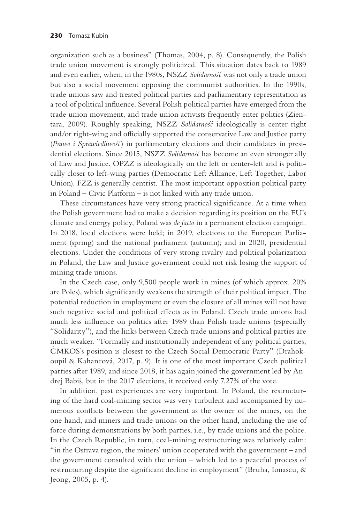organization such as a business" (Thomas, 2004, p. 8). Consequently, the Polish trade union movement is strongly politicized. This situation dates back to 1989 and even earlier, when, in the 1980s, NSZZ Solidarnos' was not only a trade union but also a social movement opposing the communist authorities. In the 1990s, trade unions saw and treated political parties and parliamentary representation as a tool of political influence. Several Polish political parties have emerged from the trade union movement, and trade union activists frequently enter politics (Zientara, 2009). Roughly speaking, NSZZ Solidarnos' ideologically is center-right and/or right-wing and officially supported the conservative Law and Justice party (*Prawo i Sprawiedliwos´c´*) in parliamentary elections and their candidates in presidential elections. Since 2015, NSZZ *Solidarnos´c´* has become an even stronger ally of Law and Justice. OPZZ is ideologically on the left or center-left and is politically closer to left-wing parties (Democratic Left Alliance, Left Together, Labor Union). FZZ is generally centrist. The most important opposition political party in Poland – Civic Platform – is not linked with any trade union.

These circumstances have very strong practical significance. At a time when the Polish government had to make a decision regarding its position on the EU's climate and energy policy, Poland was *de facto* in a permanent election campaign. In 2018, local elections were held; in 2019, elections to the European Parliament (spring) and the national parliament (autumn); and in 2020, presidential elections. Under the conditions of very strong rivalry and political polarization in Poland, the Law and Justice government could not risk losing the support of mining trade unions.

In the Czech case, only 9,500 people work in mines (of which approx. 20% are Poles), which significantly weakens the strength of their political impact. The potential reduction in employment or even the closure of all mines will not have such negative social and political effects as in Poland. Czech trade unions had much less influence on politics after 1989 than Polish trade unions (especially "Solidarity"), and the links between Czech trade unions and political parties are much weaker. "Formally and institutionally independent of any political parties, CMKOS's position is closest to the Czech Social Democratic Party" (Drahokoupil & Kahancová, 2017, p. 9). It is one of the most important Czech political parties after 1989, and since 2018, it has again joined the government led by Andrej Babiš, but in the 2017 elections, it received only 7.27% of the vote.

In addition, past experiences are very important. In Poland, the restructuring of the hard coal-mining sector was very turbulent and accompanied by numerous conflicts between the government as the owner of the mines, on the one hand, and miners and trade unions on the other hand, including the use of force during demonstrations by both parties, i.e., by trade unions and the police. In the Czech Republic, in turn, coal-mining restructuring was relatively calm: "in the Ostrava region, the miners' union cooperated with the government – and the government consulted with the union – which led to a peaceful process of restructuring despite the significant decline in employment" (Bruha, Ionascu, & Jeong, 2005, p. 4).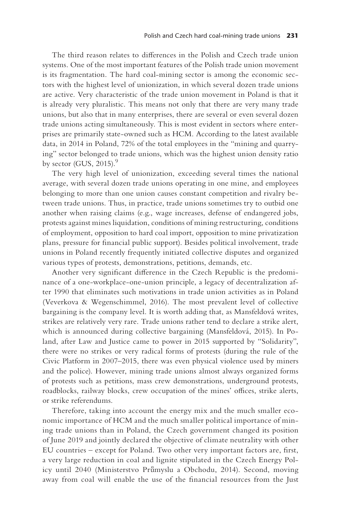<span id="page-15-0"></span>The third reason relates to differences in the Polish and Czech trade union systems. One of the most important features of the Polish trade union movement is its fragmentation. The hard coal-mining sector is among the economic sectors with the highest level of unionization, in which several dozen trade unions are active. Very characteristic of the trade union movement in Poland is that it is already very pluralistic. This means not only that there are very many trade unions, but also that in many enterprises, there are several or even several dozen trade unions acting simultaneously. This is most evident in sectors where enterprises are primarily state-owned such as HCM. According to the latest available data, in 2014 in Poland, 72% of the total employees in the "mining and quarrying" sector belonged to trade unions, which was the highest union density ratio by sector (GUS,  $2015$ ).<sup>9</sup>

The very high level of unionization, exceeding several times the national average, with several dozen trade unions operating in one mine, and employees belonging to more than one union causes constant competition and rivalry between trade unions. Thus, in practice, trade unions sometimes try to outbid one another when raising claims (e.g., wage increases, defense of endangered jobs, protests against mines liquidation, conditions of mining restructuring, conditions of employment, opposition to hard coal import, opposition to mine privatization plans, pressure for financial public support). Besides political involvement, trade unions in Poland recently frequently initiated collective disputes and organized various types of protests, demonstrations, petitions, demands, etc.

Another very significant difference in the Czech Republic is the predominance of a one-workplace-one-union principle, a legacy of decentralization after 1990 that eliminates such motivations in trade union activities as in Poland (Veverkova & Wegenschimmel, 2016). The most prevalent level of collective bargaining is the company level. It is worth adding that, as Mansfeldová writes, strikes are relatively very rare. Trade unions rather tend to declare a strike alert, which is announced during collective bargaining (Mansfeldová, 2015). In Poland, after Law and Justice came to power in 2015 supported by "Solidarity", there were no strikes or very radical forms of protests (during the rule of the Civic Platform in 2007–2015, there was even physical violence used by miners and the police). However, mining trade unions almost always organized forms of protests such as petitions, mass crew demonstrations, underground protests, roadblocks, railway blocks, crew occupation of the mines' offices, strike alerts, or strike referendums.

Therefore, taking into account the energy mix and the much smaller economic importance of HCM and the much smaller political importance of mining trade unions than in Poland, the Czech government changed its position of June 2019 and jointly declared the objective of climate neutrality with other EU countries – except for Poland. Two other very important factors are, first, a very large reduction in coal and lignite stipulated in the Czech Energy Policy until 2040 (Ministerstvo Průmyslu a Obchodu, 2014). Second, moving away from coal will enable the use of the financial resources from the Just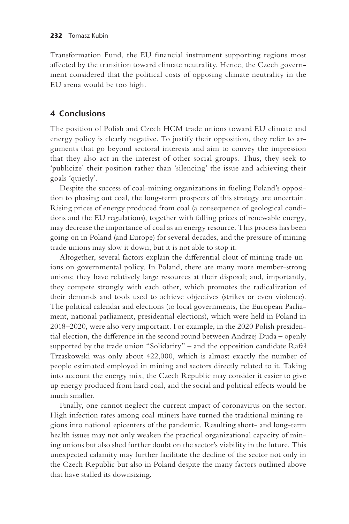Transformation Fund, the EU financial instrument supporting regions most affected by the transition toward climate neutrality. Hence, the Czech government considered that the political costs of opposing climate neutrality in the EU arena would be too high.

# **4 Conclusions**

The position of Polish and Czech HCM trade unions toward EU climate and energy policy is clearly negative. To justify their opposition, they refer to arguments that go beyond sectoral interests and aim to convey the impression that they also act in the interest of other social groups. Thus, they seek to 'publicize' their position rather than 'silencing' the issue and achieving their goals 'quietly'.

Despite the success of coal-mining organizations in fueling Poland's opposition to phasing out coal, the long-term prospects of this strategy are uncertain. Rising prices of energy produced from coal (a consequence of geological conditions and the EU regulations), together with falling prices of renewable energy, may decrease the importance of coal as an energy resource. This process has been going on in Poland (and Europe) for several decades, and the pressure of mining trade unions may slow it down, but it is not able to stop it.

Altogether, several factors explain the differential clout of mining trade unions on governmental policy. In Poland, there are many more member-strong unions; they have relatively large resources at their disposal; and, importantly, they compete strongly with each other, which promotes the radicalization of their demands and tools used to achieve objectives (strikes or even violence). The political calendar and elections (to local governments, the European Parliament, national parliament, presidential elections), which were held in Poland in 2018–2020, were also very important. For example, in the 2020 Polish presidential election, the difference in the second round between Andrzej Duda – openly supported by the trade union "Solidarity" – and the opposition candidate Rafał Trzaskowski was only about 422,000, which is almost exactly the number of people estimated employed in mining and sectors directly related to it. Taking into account the energy mix, the Czech Republic may consider it easier to give up energy produced from hard coal, and the social and political effects would be much smaller.

Finally, one cannot neglect the current impact of coronavirus on the sector. High infection rates among coal-miners have turned the traditional mining regions into national epicenters of the pandemic. Resulting short- and long-term health issues may not only weaken the practical organizational capacity of mining unions but also shed further doubt on the sector's viability in the future. This unexpected calamity may further facilitate the decline of the sector not only in the Czech Republic but also in Poland despite the many factors outlined above that have stalled its downsizing.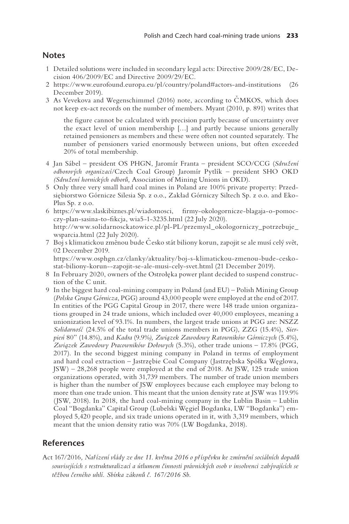# <span id="page-17-0"></span>**Notes**

- [1](#page-1-0) Detailed solutions were included in secondary legal acts: Directive 2009/28/EC, Decision  $406/2009/EC$  and Directive  $2009/29/EC$ .
- [2](#page-4-0) [https://www.eurofound.europa.eu/pl/country/poland#actors-and-institutions](https://www.eurofound.europa.eu) (26 December 2019).
- 3 As Vevekova and Wegenschimmel (2016) note, according to CMKOS, which does not keep ex-act records on the number of members. Myant (2010, p. 891) writes that

the figure cannot be calculated with precision partly because of uncertainty over the exact level of union membership [...] and partly because unions generally retained pensioners as members and these were often not counted separately. The number of pensioners varied enormously between unions, but often exceeded 20% of total membership.

- [4](#page-7-0) Jan Sábel president OS PHGN, Jaromír Franta president SCO/CCG (Sdružení odborových organizací/Czech Coal Group) Jaromír Pytlík - president SHO OKD (Sdružení hornických odborů, Association of Mining Unions in OKD).
- [5](#page-10-0) Only three very small hard coal mines in Poland are 100% private property: Przedsiębiorstwo Górnicze Silesia Sp. z o.o., Zakład Górniczy Siltech Sp. z o.o. and Eko-Plus Sp. z o.o.
- [6](#page-12-0) [https://www.slaskibiznes.pl/wiadomosci, firmy-okologornicze-blagaja-o-pomoc](https://www.slaskibiznes.pl)czy-plan-sasina-to-fikcja, wia5-1-3235.html (22 July 2020). [http://www.solidarnosckatowice.pl/pl-PL/przemysl\\_okologorniczy\\_potrzebuje\\_](http://www.solidarnosckatowice.pl) wsparcia.html(22 July 2020).<br>7 Boj s klimatickou změnou bude Česko stát biliony korun, zapojit se ale musí celý svět,
- 02 December 2019.

[https://www.osphgn.cz/clanky/aktuality/boj-s-klimatickou-zmenou-bude-cesko](https://www.osphgn.cz) stat-biliony-korun--zapojit-se-ale-musi-cely-svet.html (21 December 2019).

- [8](#page-13-0) In February 2020, owners of the Ostrołęka power plant decided to suspend construction of the C unit.
- [9](#page-15-0) In the biggest hard coal-mining company in Poland (and EU) Polish Mining Group (Polska Grupa Górnicza, PGG) around 43,000 people were employed at the end of 2017. In entities of the PGG Capital Group in 2017, there were 148 trade union organizations grouped in 24 trade unions, which included over 40,000 employees, meaning a unionization level of 93.1%. In numbers, the largest trade unions at PGG are: NSZZ Solidarnos' (24.5% of the total trade unions members in PGG), ZZG (15.4%), Sierpień 80" (14.8%), and Kadra (9.9%), Związek Zawodowy Ratowników Górniczych (5.4%), Związek Zawodowy Pracowników Dołowych (5.3%), other trade unions – 17.8% (PGG, 2017). In the second biggest mining company in Poland in terms of employment and hard coal extraction - Jastrzębie Coal Company (Jastrzębska Spółka Węglowa, JSW) - 28,268 people were employed at the end of 2018. At JSW, 125 trade union organizations operated, with 31,739 members. The number of trade union members is higher than the number of JSW employees because each employee may belong to more than one trade union. This meant that the union density rate at JSW was 119.9% (JSW, 2018). In 2018, the hard coal-mining company in the Lublin Basin - Lublin Coal "Bogdanka" Capital Group (Lubelski Węgiel Bogdanka, LW "Bogdanka") employed 5,420 people, and six trade unions operated in it, with 3,319 members, which meant that the union density ratio was 70% (LW Bogdanka, 2018).

# **References**

Act 167/2016, Nařízení vlády ze dne 11. května 2016 o příspěvku ke zmírnění sociálních dopadů *souvisejících s restrukturalizací a útlumem cˇinnosti právnických osob v insolvenci zabývajících se teˇžbou cˇerného uhlí. Sbírka zákonuº cˇ. 167/2016 Sb*.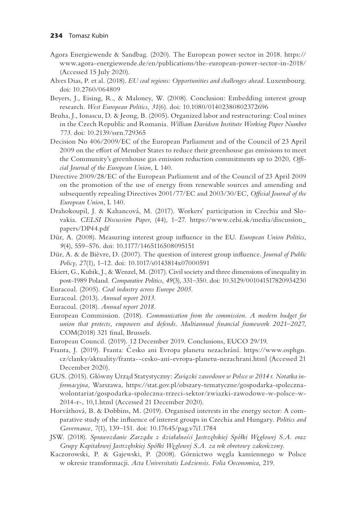- Agora Energiewende & Sandbag. (2020). The European power sector in 2018. [https://](https://www.agora-energiewende.de/en/publications/the-european-power-sector-in-2018/(Accessed) [www.agora-energiewende.de/en/publications/the-european-power-sector-in-2018/](https://www.agora-energiewende.de/en/publications/the-european-power-sector-in-2018/(Accessed)  (Accessed 15 July 2020).
- Alves Dias, P. et al. (2018). *EU coal regions: Opportunities and challenges ahead*. Luxembourg. [doi: 10.2760/064809](https://doi.org/doi:10.2760/064809)
- Beyers, J., Eising, R., & Maloney, W. (2008). Conclusion: Embedding interest group research. *West European Politics, 31*(6). [doi: 10.1080/01402380802372696](https://doi.org/doi:10.1080/01402380802372696)
- Bruha, J., Ionascu, D. & Jeong, B. (2005). Organized labor and restructuring: Coal mines in the Czech Republic and Romania. *William Davidson Institute Working Paper Number 773*. [doi: 10.2139/ssrn.729365](https://doi.org/doi:10.2139/ssrn.729365)
- Decision No 406/2009/EC of the European Parliament and of the Council of 23 April 2009 on the effort of Member States to reduce their greenhouse gas emissions to meet the Community's greenhouse gas emission reduction commitments up to 2020, *Official Journal of the European Union*, L 140.
- Directive 2009/28/EC of the European Parliament and of the Council of 23 April 2009 on the promotion of the use of energy from renewable sources and amending and subsequently repealing Directives 2001/77/EC and 2003/30/EC, *Official Journal of the European Union*, L 140.
- Drahokoupil, J. & Kahancová, M. (2017). Workers' participation in Czechia and Slovakia. *CELSI Discussion Paper*, (44), 1–[27. https://www.celsi.sk/media/discussion\\_](https://www.celsi.sk) [papers/DP44.p](https://www.celsi.sk)df
- Dür, A. (2008). Measuring interest group influence in the EU. *European Union Politics*, *9*(4), 559–576. [doi: 10.1177/1465116508095151](https://doi.org/doi:10.1177/1465116508095151)
- Dür, A. & de Bièvre, D. (2007). The question of interest group influence. *Journal of Public Policy*, *27*(1), 1–12. [doi: 10.1017/s0143814x07000591](https://doi.org/doi:10.1017/s0143814x07000591)
- Ekiert, G., Kubik, J., & Wenzel, M. (2017). Civil society and three dimensions of inequality in post-1989 Poland. *Comparative Politics*, *49*(3), 331–350. [doi: 10.5129/001041517820934230](https://doi.org/doi:10.5129/001041517820934230) Euracoal. (2005). *Coal industry across Europe 2005.*
- Euracoal. (2013). *Annual report 2013*.
- Euracoal. (2018). *Annual report 2018*.
- European Commission. (2018). *Communication from the commission. A modern budget for union that protects, empowers and defends. Multiannual financial framework 2021–2027*, COM(2018) 321 final, Brussels.
- 
- European Council. (2019). 12 December 2019. Conclusions, EUCO 29/19.<br>Franta, J. (2019). Franta: Česko ani Evropa planetu nezachrání. [https://www.osphgn.](https://www.osphgn.cz) [cz/clanky/aktuality/franta--cesko-ani-evropa-planetu-nezachrani.html](https://www.osphgn.cz) (Accessed 21 December 2020).
- GUS. (2015). Główny Urząd Statystyczny: Związki zawodowe w Polsce w 2014 r. Notatka in*formacyjna*, Warszawa, [https://stat.gov.pl/obszary-tematyczne/gospodarka-spoleczna](https://stat.gov.pl)[wolontariat/gospodarka-spoleczna-trzeci-sektor/zwiazki-zawodowe-w-polsce-w-](https://stat.gov.pl)[2014-r-, 10,1.html](https://stat.gov.pl) (Accessed 21 December 2020).
- Horváthová, B. & Dobbins, M. (2019). Organised interests in the energy sector: A comparative study of the influence of interest groups in Czechia and Hungary. *Politics and Governance*, *7*(1), 139–151. [doi: 10.17645/pag.v7i1.1784](https://doi.org/doi:10.17645/pag.v7i1.1784)
- JSW. (2018). *Sprawozdanie Zarza*˛*du z działalnos´ci Jastrze˛bskiej Spółki We˛glowej S.A. oraz Grupy Kapitałowej Jastrze˛bskiej Spółki We˛glowej S.A. za rok obrotowy zakon´czony.*
- Kaczorowski, P. & Gajewski, P. (2008). Górnictwo we˛gla kamiennego w Polsce w okresie transformacji. *Acta Universitatis Lodziensis. Folia Oeconomica,* 219.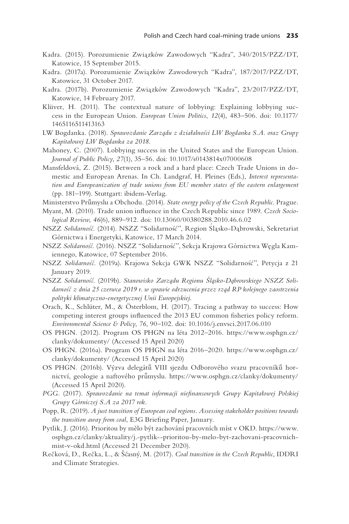- Kadra. (2015). Porozumienie Związków Zawodowych "Kadra", 340/2015/PZZ/DT, Katowice, 15 September 2015.
- Kadra. (2017a). Porozumienie Związków Zawodowych "Kadra", 187/2017/PZZ/DT, Katowice, 31 October 2017.
- Kadra. (2017b). Porozumienie Związków Zawodowych "Kadra", 23/2017/PZZ/DT, Katowice, 14 February 2017.
- Klüver, H. (2011). The contextual nature of lobbying: Explaining lobbying success in the European Union. *European Union Politics*, *12*(4), 483–506. [doi: 10.1177/](https://doi.org/doi:10.1177/1465116511413163) [1465116511413163](https://doi.org/doi:10.1177/1465116511413163)
- LW Bogdanka. (2018). *Sprawozdanie Zarza*˛*du z działalnos´ci LW Bogdanka S.A. oraz Grupy Kapitałowej LW Bogdanka za 2018*.
- Mahoney, C. (2007). Lobbying success in the United States and the European Union. *Journal of Public Policy*, *27*(1), 35–56. [doi: 10.1017/s0143814x07000608](https://doi.org/doi:10.1017/s0143814x07000608)
- Mansfeldová, Z. (2015). Between a rock and a hard place: Czech Trade Unions in domestic and European Arenas. In Ch. Landgraf, H. Pleines (Eds.), *Interest representation and Europeanization of trade unions from EU member states of the eastern enlargement*  (pp. 181–199). Stuttgart: ibidem-Verlag.
- Ministerstvo Průmyslu a Obchodu. (2014). *State energy policy of the Czech Republic*. Prague.
- Myant, M. (2010). Trade union influence in the Czech Republic since 1989. *Czech Sociological Review*, *46*(6), 889–912. [doi: 10.13060/00380288.2010.46.6.02](https://doi.org/doi:10.13060/00380288.2010.46.6.02)
- NSZZ Solidarność. (2014). NSZZ "Solidarność", Region Sląsko-Dąbrowski, Sekretariat Górnictwa i Energetyki, Katowice, 17 March 2014.
- NSZZ *Solidarnos´c´.* (2016). NSZZ "Solidarnos´c´", Sekcja Krajowa Górnictwa We˛gla Kamiennego, Katowice, 07 September 2016.
- NSZZ Solidarność. (2019a). Krajowa Sekcja GWK NSZZ "Solidarność", Petycja z 21 January 2019.
- NSZZ *Solidarnos´c´.* (2019b). *Stanowisko Zarza*˛*du Regionu S´la*˛*sko-Da*˛*browskiego NSZZ Solidarnos´c´ z dnia 25 czerwca 2019 r. w sprawie odrzucenia przez rza*˛*d RP kolejnego zaostrzenia polityki klimatyczno-energetycznej Unii Europejskiej*.
- Orach, K., Schlüter, M., & Österblom, H. (2017). Tracing a pathway to success: How competing interest groups influenced the 2013 EU common fisheries policy reform. *Environmental Science & Policy*, *76*, 90–102. [doi: 10.1016/j.envsci.2017.06.010](https://doi.org/doi:10.1016/j.envsci.2017.06.010)
- OS PHGN. (2012). Program OS PHGN na léta 2012–2016. [https://www.osphgn.cz/](https://www.osphgn.cz) [clanky/dokumenty/ \(](https://www.osphgn.cz)Accessed 15 April 2020)
- OS PHGN. (2016a). Program OS PHGN na léta 2016–2020. [https://www.osphgn.cz/](https://www.osphgn.cz) [clanky/dokumenty/ \(](https://www.osphgn.cz)Accessed 15 April 2020)
- OS PHGN. (2016b). Výzva delegátů VIII sjezdu Odborového svazu pracovníků hornictví, geologie a naftového průmyslu. https://www.osphgn.cz/clanky/dokumenty/ (Accessed 15 April 2020).
- *PGG.* (2017). *Sprawozdanie na temat informacji niefinansowych Grupy Kapitałowej Polskiej Grupy Górniczej S.A za 2017 rok*.
- Popp, R. (2019). *A just transition of European coal regions. Assessing stakeholder positions towards the transition away from coal*, E3G Briefing Paper, January.
- Pytlik, J. (2016). Prioritou by mělo být zachování pracovních míst v OKD. [https://www.](https://www.osphgn.cz) [osphgn.cz/clanky/aktuality/j.-pytlik--prioritou-by-melo-byt-zachovani-pracovnich](https://www.osphgn.cz)[mist-v-okd.html](https://www.osphgn.cz) (Accessed 21 December 2020).
- Rečková, D., Rečka, L., & Ščasný, M. (2017). *Coal transition in the Czech Republic*, IDDRI and Climate Strategies.